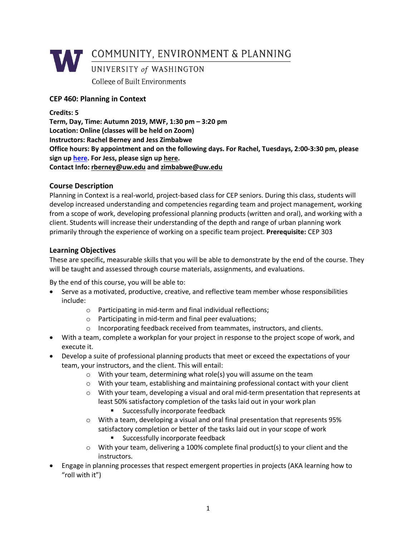

# **CEP 460: Planning in Context**

**Credits: 5 Term, Day, Time: Autumn 2019, MWF, 1:30 pm – 3:20 pm Location: Online (classes will be held on Zoom) Instructors: Rachel Berney and Jess Zimbabwe Office hours: By appointment and on the following days. For Rachel, Tuesdays, 2:00-3:30 pm, please sign up here. For Jess, please sign up here. Contact Info: rberney@uw.edu and zimbabwe@uw.edu**

# **Course Description**

Planning in Context is a real-world, project-based class for CEP seniors. During this class, students will develop increased understanding and competencies regarding team and project management, working from a scope of work, developing professional planning products (written and oral), and working with a client. Students will increase their understanding of the depth and range of urban planning work primarily through the experience of working on a specific team project. **Prerequisite:** CEP 303

# **Learning Objectives**

These are specific, measurable skills that you will be able to demonstrate by the end of the course. They will be taught and assessed through course materials, assignments, and evaluations.

By the end of this course, you will be able to:

- Serve as a motivated, productive, creative, and reflective team member whose responsibilities include:
	- o Participating in mid-term and final individual reflections;
	- o Participating in mid-term and final peer evaluations;
	- o Incorporating feedback received from teammates, instructors, and clients.
- With a team, complete a workplan for your project in response to the project scope of work, and execute it.
- Develop a suite of professional planning products that meet or exceed the expectations of your team, your instructors, and the client. This will entail:
	- o With your team, determining what role(s) you will assume on the team
	- o With your team, establishing and maintaining professional contact with your client
	- o With your team, developing a visual and oral mid-term presentation that represents at least 50% satisfactory completion of the tasks laid out in your work plan
		- Successfully incorporate feedback
	- o With a team, developing a visual and oral final presentation that represents 95% satisfactory completion or better of the tasks laid out in your scope of work
		- Successfully incorporate feedback
	- $\circ$  With your team, delivering a 100% complete final product(s) to your client and the instructors.
- Engage in planning processes that respect emergent properties in projects (AKA learning how to "roll with it")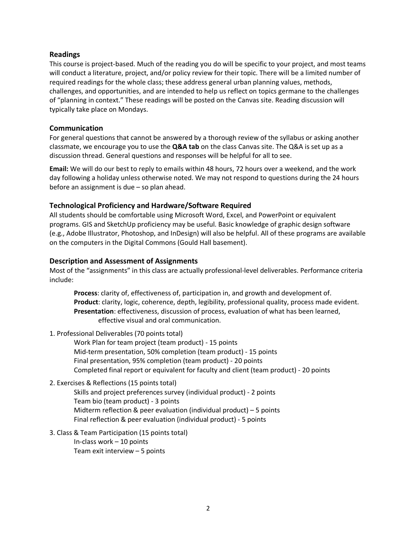# **Readings**

This course is project-based. Much of the reading you do will be specific to your project, and most teams will conduct a literature, project, and/or policy review for their topic. There will be a limited number of required readings for the whole class; these address general urban planning values, methods, challenges, and opportunities, and are intended to help us reflect on topics germane to the challenges of "planning in context." These readings will be posted on the Canvas site. Reading discussion will typically take place on Mondays.

# **Communication**

For general questions that cannot be answered by a thorough review of the syllabus or asking another classmate, we encourage you to use the **Q&A tab** on the class Canvas site. The Q&A is set up as a discussion thread. General questions and responses will be helpful for all to see.

**Email:** We will do our best to reply to emails within 48 hours, 72 hours over a weekend, and the work day following a holiday unless otherwise noted. We may not respond to questions during the 24 hours before an assignment is due – so plan ahead.

# **Technological Proficiency and Hardware/Software Required**

All students should be comfortable using Microsoft Word, Excel, and PowerPoint or equivalent programs. GIS and SketchUp proficiency may be useful. Basic knowledge of graphic design software (e.g., Adobe Illustrator, Photoshop, and InDesign) will also be helpful. All of these programs are available on the computers in the Digital Commons (Gould Hall basement).

# **Description and Assessment of Assignments**

Most of the "assignments" in this class are actually professional-level deliverables. Performance criteria include:

**Process**: clarity of, effectiveness of, participation in, and growth and development of. **Product**: clarity, logic, coherence, depth, legibility, professional quality, process made evident. **Presentation**: effectiveness, discussion of process, evaluation of what has been learned, effective visual and oral communication.

### 1. Professional Deliverables (70 points total)

Work Plan for team project (team product) - 15 points Mid-term presentation, 50% completion (team product) - 15 points Final presentation, 95% completion (team product) - 20 points Completed final report or equivalent for faculty and client (team product) - 20 points

2. Exercises & Reflections (15 points total)

Skills and project preferences survey (individual product) - 2 points Team bio (team product) - 3 points Midterm reflection & peer evaluation (individual product) – 5 points Final reflection & peer evaluation (individual product) - 5 points

3. Class & Team Participation (15 points total) In-class work – 10 points Team exit interview – 5 points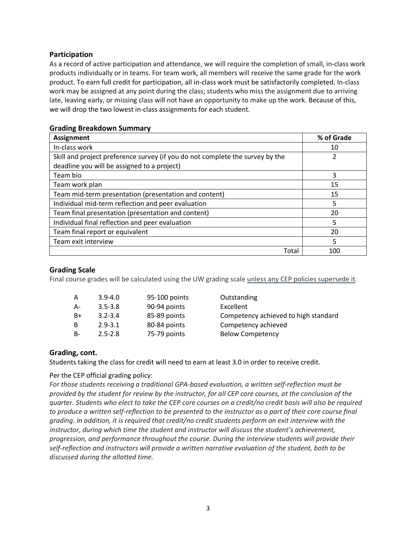# **Participation**

As a record of active participation and attendance, we will require the completion of small, in-class work products individually or in teams. For team work, all members will receive the same grade for the work product. To earn full credit for participation, all in-class work must be satisfactorily completed. In-class work may be assigned at any point during the class; students who miss the assignment due to arriving late, leaving early, or missing class will not have an opportunity to make up the work. Because of this, we will drop the two lowest in-class assignments for each student.

| <b>Assignment</b>                                                             | % of Grade |
|-------------------------------------------------------------------------------|------------|
| In-class work                                                                 | 10         |
| Skill and project preference survey (if you do not complete the survey by the | 2          |
| deadline you will be assigned to a project)                                   |            |
| Team bio                                                                      | 3          |
| Team work plan                                                                | 15         |
| Team mid-term presentation (presentation and content)                         | 15         |
| Individual mid-term reflection and peer evaluation                            | 5          |
| Team final presentation (presentation and content)                            | 20         |
| Individual final reflection and peer evaluation                               | 5          |
| Team final report or equivalent                                               | 20         |
| Team exit interview                                                           | 5          |
| Total                                                                         | 100        |

# **Grading Breakdown Summary**

# **Grading Scale**

Final course grades will be calculated using the UW grading scale unless any CEP policies supersede it.

| A  | $3.9 - 4.0$ | 95-100 points |
|----|-------------|---------------|
| А- | $3.5 - 3.8$ | 90-94 points  |
| B+ | $3.2 - 3.4$ | 85-89 points  |
| R  | $2.9 - 3.1$ | 80-84 points  |
| R- | $2.5 - 2.8$ | 75-79 points  |

**Outstanding Excellent** Competency achieved to high standard Competency achieved Below Competency

# **Grading, cont.**

Students taking the class for credit will need to earn at least 3.0 in order to receive credit.

### Per the CEP official grading policy:

*For those students receiving a traditional GPA-based evaluation, a written self-reflection must be provided by the student for review by the instructor, for all CEP core courses, at the conclusion of the quarter. Students who elect to take the CEP core courses on a credit/no credit basis will also be required to produce a written self-reflection to be presented to the instructor as a part of their core course final grading. In addition, it is required that credit/no credit students perform an exit interview with the instructor, during which time the student and instructor will discuss the student's achievement, progression, and performance throughout the course. During the interview students will provide their self-reflection and instructors will provide a written narrative evaluation of the student, both to be discussed during the allotted time.*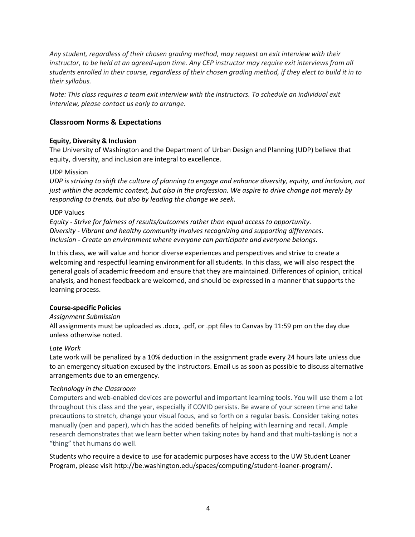*Any student, regardless of their chosen grading method, may request an exit interview with their instructor, to be held at an agreed-upon time. Any CEP instructor may require exit interviews from all students enrolled in their course, regardless of their chosen grading method, if they elect to build it in to their syllabus.*

*Note: This class requires a team exit interview with the instructors. To schedule an individual exit interview, please contact us early to arrange.*

# **Classroom Norms & Expectations**

#### **Equity, Diversity & Inclusion**

The University of Washington and the Department of Urban Design and Planning (UDP) believe that equity, diversity, and inclusion are integral to excellence.

#### UDP Mission

*UDP is striving to shift the culture of planning to engage and enhance diversity, equity, and inclusion, not just within the academic context, but also in the profession. We aspire to drive change not merely by responding to trends, but also by leading the change we seek*.

#### UDP Values

*Equity - Strive for fairness of results/outcomes rather than equal access to opportunity. Diversity - Vibrant and healthy community involves recognizing and supporting differences. Inclusion - Create an environment where everyone can participate and everyone belongs.*

In this class, we will value and honor diverse experiences and perspectives and strive to create a welcoming and respectful learning environment for all students. In this class, we will also respect the general goals of academic freedom and ensure that they are maintained. Differences of opinion, critical analysis, and honest feedback are welcomed, and should be expressed in a manner that supports the learning process.

### **Course-specific Policies**

#### *Assignment Submission*

All assignments must be uploaded as .docx, .pdf, or .ppt files to Canvas by 11:59 pm on the day due unless otherwise noted.

#### *Late Work*

Late work will be penalized by a 10% deduction in the assignment grade every 24 hours late unless due to an emergency situation excused by the instructors. Email us as soon as possible to discuss alternative arrangements due to an emergency.

### *Technology in the Classroom*

Computers and web-enabled devices are powerful and important learning tools. You will use them a lot throughout this class and the year, especially if COVID persists. Be aware of your screen time and take precautions to stretch, change your visual focus, and so forth on a regular basis. Consider taking notes manually (pen and paper), which has the added benefits of helping with learning and recall. Ample research demonstrates that we learn better when taking notes by hand and that multi-tasking is not a "thing" that humans do well.

Students who require a device to use for academic purposes have access to the UW Student Loaner Program, please visit http://be.washington.edu/spaces/computing/student-loaner-program/.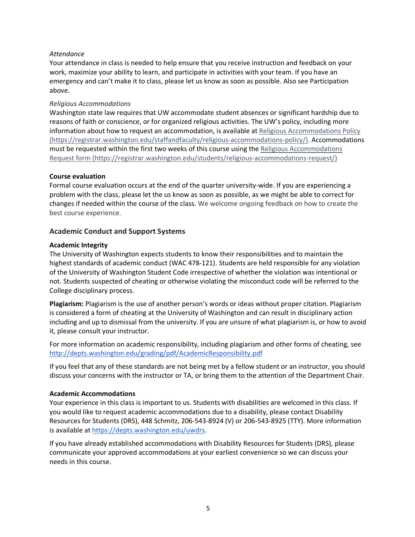### *Attendance*

Your attendance in class is needed to help ensure that you receive instruction and feedback on your work, maximize your ability to learn, and participate in activities with your team. If you have an emergency and can't make it to class, please let us know as soon as possible. Also see Participation above.

### *Religious Accommodations*

Washington state law requires that UW accommodate student absences or significant hardship due to reasons of faith or conscience, or for organized religious activities. The UW's policy, including more information about how to request an accommodation, is available at Religious Accommodations Policy (https://registrar.washington.edu/staffandfaculty/religious-accommodations-policy/). Accommodations must be requested within the first two weeks of this course using the Religious Accommodations Request form (https://registrar.washington.edu/students/religious-accommodations-request/)

#### **Course evaluation**

Formal course evaluation occurs at the end of the quarter university-wide. If you are experiencing a problem with the class, please let the us know as soon as possible, as we might be able to correct for changes if needed within the course of the class. We welcome ongoing feedback on how to create the best course experience.

# **Academic Conduct and Support Systems**

### **Academic Integrity**

The University of Washington expects students to know their responsibilities and to maintain the highest standards of academic conduct (WAC 478-121). Students are held responsible for any violation of the University of Washington Student Code irrespective of whether the violation was intentional or not. Students suspected of cheating or otherwise violating the misconduct code will be referred to the College disciplinary process.

**Plagiarism:** Plagiarism is the use of another person's words or ideas without proper citation. Plagiarism is considered a form of cheating at the University of Washington and can result in disciplinary action including and up to dismissal from the university. If you are unsure of what plagiarism is, or how to avoid it, please consult your instructor.

For more information on academic responsibility, including plagiarism and other forms of cheating, see http://depts.washington.edu/grading/pdf/AcademicResponsibility.pdf

If you feel that any of these standards are not being met by a fellow student or an instructor, you should discuss your concerns with the instructor or TA, or bring them to the attention of the Department Chair.

### **Academic Accommodations**

Your experience in this class is important to us. Students with disabilities are welcomed in this class. If you would like to request academic accommodations due to a disability, please contact Disability Resources for Students (DRS), 448 Schmitz, 206-543-8924 (V) or 206-543-8925 (TTY). More information is available at https://depts.washington.edu/uwdrs.

If you have already established accommodations with Disability Resources for Students (DRS), please communicate your approved accommodations at your earliest convenience so we can discuss your needs in this course.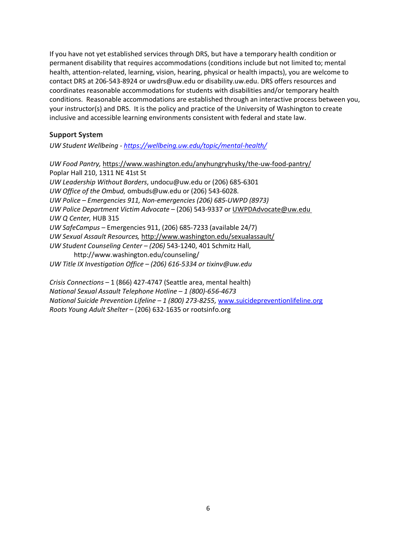If you have not yet established services through DRS, but have a temporary health condition or permanent disability that requires accommodations (conditions include but not limited to; mental health, attention-related, learning, vision, hearing, physical or health impacts), you are welcome to contact DRS at 206-543-8924 or uwdrs@uw.edu or disability.uw.edu. DRS offers resources and coordinates reasonable accommodations for students with disabilities and/or temporary health conditions. Reasonable accommodations are established through an interactive process between you, your instructor(s) and DRS. It is the policy and practice of the University of Washington to create inclusive and accessible learning environments consistent with federal and state law.

### **Support System**

*UW Student Wellbeing - https://wellbeing.uw.edu/topic/mental-health/*

*UW Food Pantry,* https://www.washington.edu/anyhungryhusky/the-uw-food-pantry/ Poplar Hall 210, 1311 NE 41st St *UW Leadership Without Borders*, undocu@uw.edu or (206) 685-6301 *UW Office of the Ombud,* ombuds@uw.edu or (206) 543-6028. *UW Police – Emergencies 911, Non-emergencies (206) 685-UWPD (8973) UW Police Department Victim Advocate* – (206) 543-9337 or UWPDAdvocate@uw.edu *UW Q Center,* HUB 315 *UW SafeCampus –* Emergencies 911, (206) 685-7233 (available 24/7) *UW Sexual Assault Resources,* http://www.washington.edu/sexualassault/ *UW Student Counseling Center – (206)* 543-1240, 401 Schmitz Hall, http://www.washington.edu/counseling/ *UW Title IX Investigation Office – (206) 616-5334 or tixinv@uw.edu*

*Crisis Connections* – 1 (866) 427-4747 (Seattle area, mental health) *National Sexual Assault Telephone Hotline – 1 (800)-656-4673 National Suicide Prevention Lifeline – 1 (800) 273-8255,* www.suicidepreventionlifeline.org *Roots Young Adult Shelter* – (206) 632-1635 or rootsinfo.org